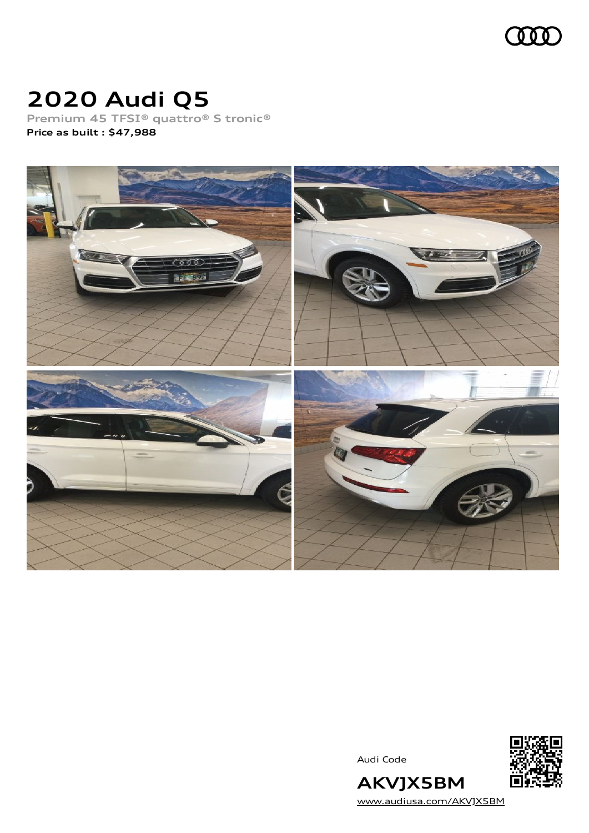

# **2020 Audi Q5**

**Premium 45 TFSI® quattro® S tronic® Price as built [:](#page-8-0) \$47,988**



Audi Code



**AKVJX5BM** [www.audiusa.com/AKVJX5BM](https://www.audiusa.com/AKVJX5BM)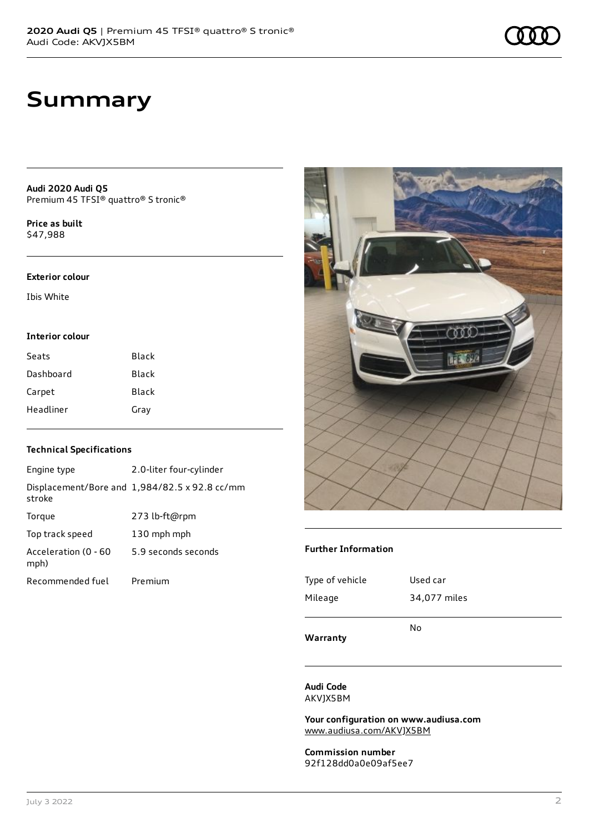## **Summary**

**Audi 2020 Audi Q5** Premium 45 TFSI® quattro® S tronic®

**Price as buil[t](#page-8-0)** \$47,988

#### **Exterior colour**

Ibis White

#### **Interior colour**

| Seats     | <b>Black</b> |
|-----------|--------------|
| Dashboard | Black        |
| Carpet    | Black        |
| Headliner | Gray         |

### **Technical Specifications**

| Engine type                  | 2.0-liter four-cylinder                       |
|------------------------------|-----------------------------------------------|
| stroke                       | Displacement/Bore and 1,984/82.5 x 92.8 cc/mm |
| Torque                       | 273 lb-ft@rpm                                 |
| Top track speed              | 130 mph mph                                   |
| Acceleration (0 - 60<br>mph) | 5.9 seconds seconds                           |
| Recommended fuel             | Premium                                       |



#### **Further Information**

| Warranty        |              |
|-----------------|--------------|
|                 | No           |
| Mileage         | 34,077 miles |
| Type of vehicle | Used car     |

**Audi Code** AKVJX5BM

**Your configuration on www.audiusa.com** [www.audiusa.com/AKVJX5BM](https://www.audiusa.com/AKVJX5BM)

**Commission number** 92f128dd0a0e09af5ee7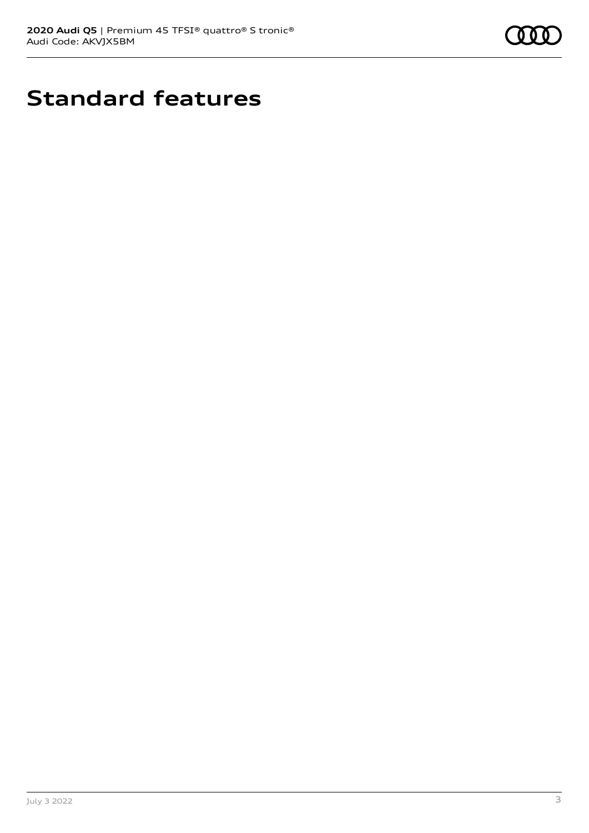

# **Standard features**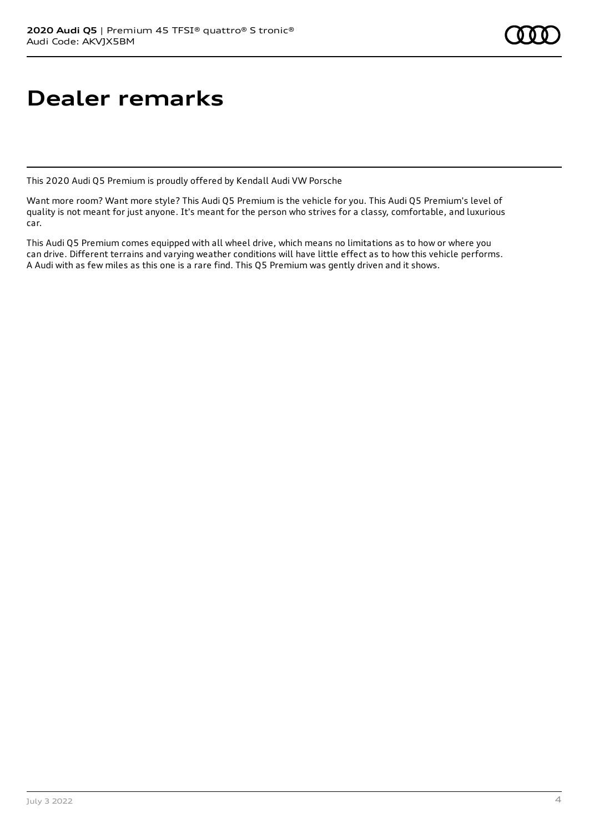# **Dealer remarks**

This 2020 Audi Q5 Premium is proudly offered by Kendall Audi VW Porsche

Want more room? Want more style? This Audi Q5 Premium is the vehicle for you. This Audi Q5 Premium's level of quality is not meant for just anyone. It's meant for the person who strives for a classy, comfortable, and luxurious car.

This Audi Q5 Premium comes equipped with all wheel drive, which means no limitations as to how or where you can drive. Different terrains and varying weather conditions will have little effect as to how this vehicle performs. A Audi with as few miles as this one is a rare find. This Q5 Premium was gently driven and it shows.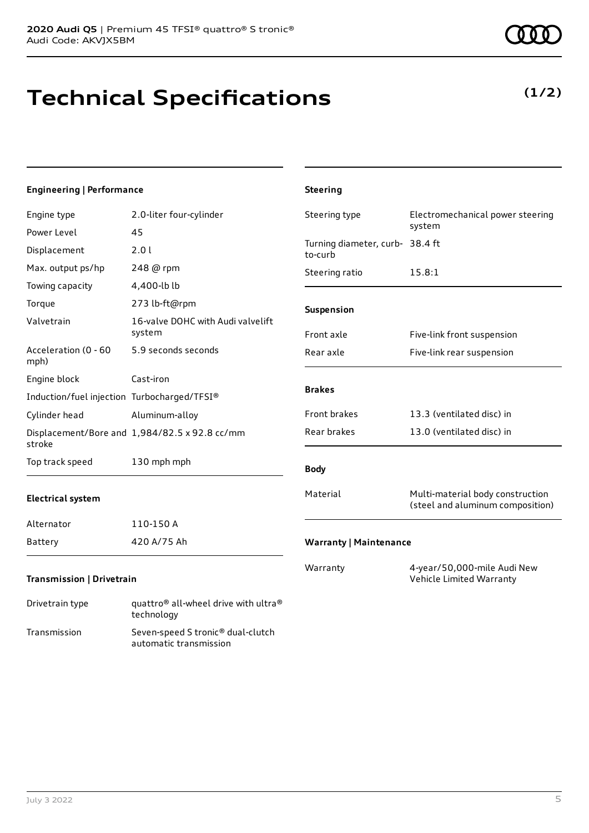# **Technical Specifications**

| <b>Engineering   Performance</b>            |                                               | <b>Steering</b>                            |                                  |
|---------------------------------------------|-----------------------------------------------|--------------------------------------------|----------------------------------|
| Engine type                                 | 2.0-liter four-cylinder                       | Steering type                              | Electromechanical power steering |
| Power Level                                 | 45                                            |                                            | system                           |
| Displacement                                | 2.01                                          | Turning diameter, curb- 38.4 ft<br>to-curb |                                  |
| Max. output ps/hp                           | 248 @ rpm                                     | Steering ratio                             | 15.8:1                           |
| Towing capacity                             | 4,400-lb lb                                   |                                            |                                  |
| Torque                                      | 273 lb-ft@rpm                                 | Suspension                                 |                                  |
| Valvetrain                                  | 16-valve DOHC with Audi valvelift<br>system   | Front axle                                 | Five-link front suspension       |
| Acceleration (0 - 60<br>mph)                | 5.9 seconds seconds                           | Rear axle                                  | Five-link rear suspension        |
| Engine block                                | Cast-iron                                     |                                            |                                  |
| Induction/fuel injection Turbocharged/TFSI® |                                               | <b>Brakes</b>                              |                                  |
| Cylinder head                               | Aluminum-alloy                                | Front brakes                               | 13.3 (ventilated disc) in        |
| stroke                                      | Displacement/Bore and 1,984/82.5 x 92.8 cc/mm | Rear brakes                                | 13.0 (ventilated disc) in        |
| Top track speed                             | 130 mph mph                                   | <b>Body</b>                                |                                  |

### **Electrical system**

| Alternator | 110-150 A   |
|------------|-------------|
| Battery    | 420 A/75 Ah |

### **Transmission | Drivetrain**

| Drivetrain type | quattro <sup>®</sup> all-wheel drive with ultra <sup>®</sup><br>technology |
|-----------------|----------------------------------------------------------------------------|
| Transmission    | Seven-speed S tronic <sup>®</sup> dual-clutch<br>automatic transmission    |

# **(1/2)**

| <b>Body</b> |                                                                      |
|-------------|----------------------------------------------------------------------|
| Material    | Multi-material body construction<br>(steel and aluminum composition) |

### **Warranty | Maintenance**

Warranty 4-year/50,000-mile Audi New Vehicle Limited Warranty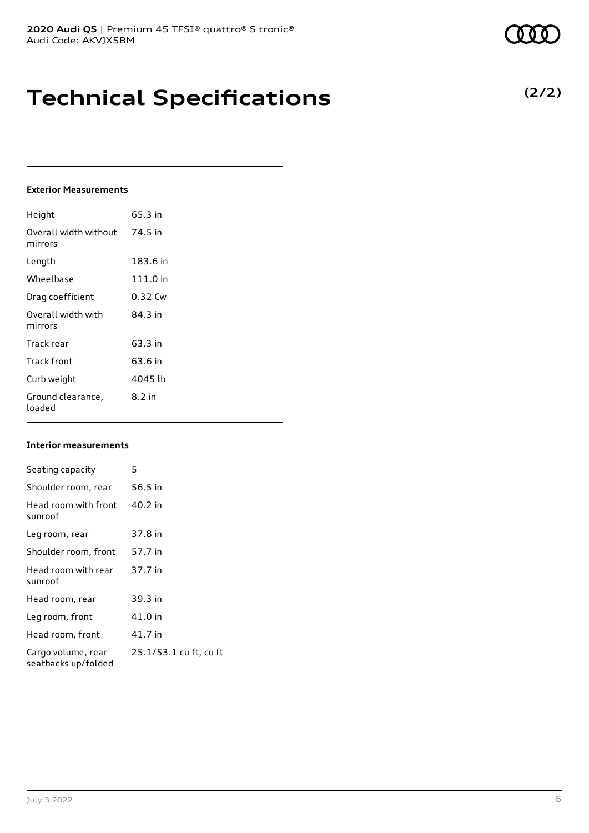## **Technical Specifications**

### **Exterior Measurements**

| Height                           | 65.3 in  |
|----------------------------------|----------|
| Overall width without<br>mirrors | 74.5 in  |
| Length                           | 183.6 in |
| Wheelbase                        | 111.0 in |
| Drag coefficient                 | 0.32 Cw  |
| Overall width with<br>mirrors    | 84 3 in  |
| Track rear                       | 63.3 in  |
| Track front                      | 63.6 in  |
| Curb weight                      | 4045 lb  |
| Ground clearance,<br>loaded      | 8.2 in   |

### **Interior measurements**

| Seating capacity                          | 5                      |
|-------------------------------------------|------------------------|
| Shoulder room, rear                       | 56.5 in                |
| Head room with front<br>sunroof           | 40.2 in                |
| Leg room, rear                            | 37.8 in                |
| Shoulder room, front                      | 57.7 in                |
| Head room with rear<br>sunroof            | 37.7 in                |
| Head room, rear                           | 39.3 in                |
| Leg room, front                           | 41.0 in                |
| Head room, front                          | 41.7 in                |
| Cargo volume, rear<br>seatbacks up/folded | 25.1/53.1 cu ft, cu ft |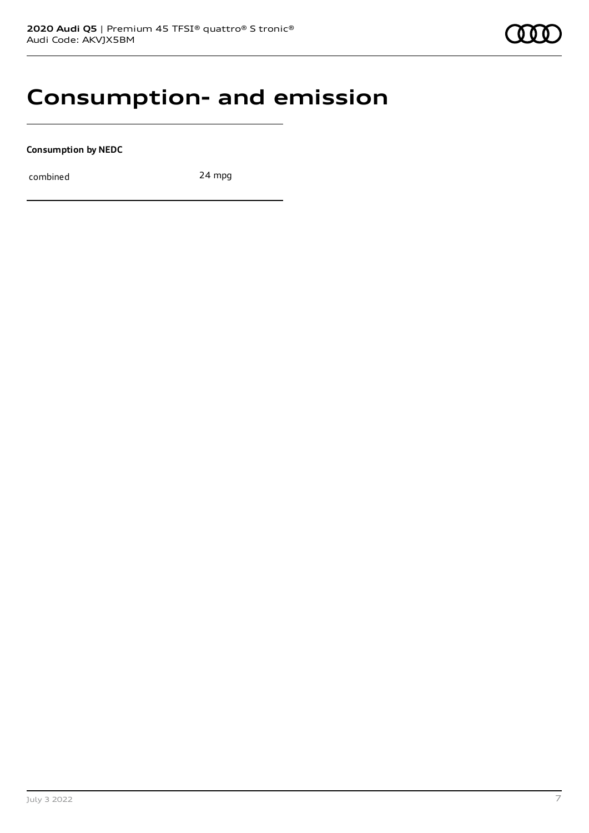## **Consumption- and emission**

**Consumption by NEDC**

combined 24 mpg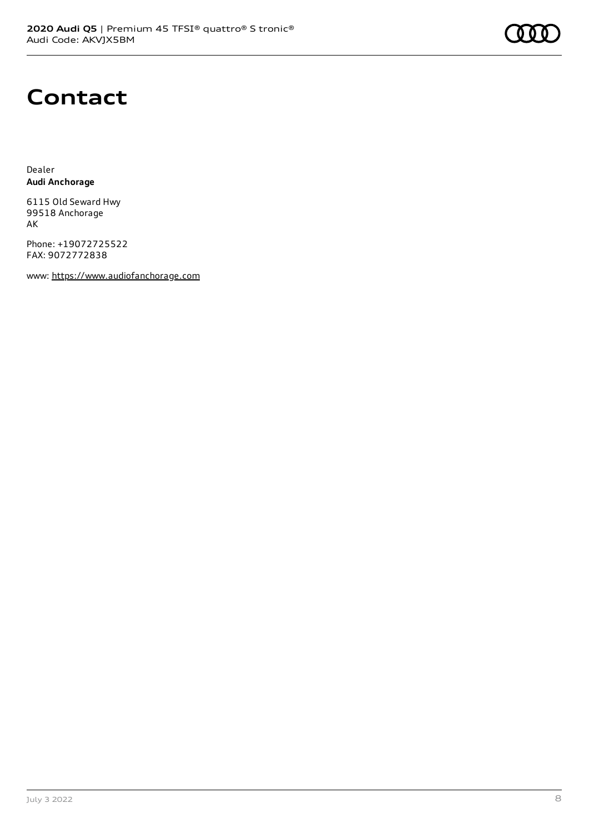

## **Contact**

Dealer **Audi Anchorage**

6115 Old Seward Hwy 99518 Anchorage AK

Phone: +19072725522 FAX: 9072772838

www: [https://www.audiofanchorage.com](https://www.audiofanchorage.com/)